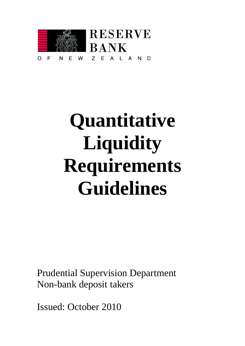

# **Quantitative Liquidity Requirements Guidelines**

Prudential Supervision Department Non-bank deposit takers

Issued: October 2010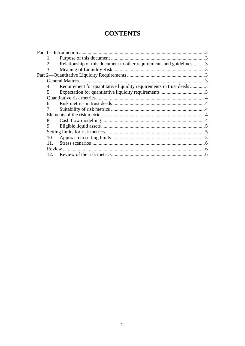# **CONTENTS**

| 1.<br>2.<br>Relationship of this document to other requirements and guidelines3<br>3.<br>Requirement for quantitative liquidity requirements in trust deeds 3<br>4.<br>5.<br>6.<br>8.<br>9.<br>10.<br>11<br>12 <sub>1</sub> |  |  |  |  |
|-----------------------------------------------------------------------------------------------------------------------------------------------------------------------------------------------------------------------------|--|--|--|--|
|                                                                                                                                                                                                                             |  |  |  |  |
|                                                                                                                                                                                                                             |  |  |  |  |
|                                                                                                                                                                                                                             |  |  |  |  |
|                                                                                                                                                                                                                             |  |  |  |  |
|                                                                                                                                                                                                                             |  |  |  |  |
|                                                                                                                                                                                                                             |  |  |  |  |
|                                                                                                                                                                                                                             |  |  |  |  |
|                                                                                                                                                                                                                             |  |  |  |  |
|                                                                                                                                                                                                                             |  |  |  |  |
|                                                                                                                                                                                                                             |  |  |  |  |
|                                                                                                                                                                                                                             |  |  |  |  |
|                                                                                                                                                                                                                             |  |  |  |  |
|                                                                                                                                                                                                                             |  |  |  |  |
|                                                                                                                                                                                                                             |  |  |  |  |
|                                                                                                                                                                                                                             |  |  |  |  |
|                                                                                                                                                                                                                             |  |  |  |  |
|                                                                                                                                                                                                                             |  |  |  |  |
|                                                                                                                                                                                                                             |  |  |  |  |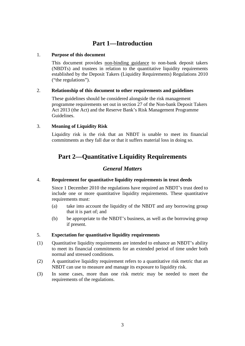# **Part 1—Introduction**

#### <span id="page-2-1"></span><span id="page-2-0"></span>1. **Purpose of this document**

This document provides non-binding guidance to non-bank deposit takers (NBDTs) and trustees in relation to the quantitative liquidity requirements established by the Deposit Takers (Liquidity Requirements) Regulations 2010 ("the regulations").

#### <span id="page-2-2"></span>2. **Relationship of this document to other requirements and guidelines**

These guidelines should be considered alongside the risk management programme requirements set out in section 27 of the Non-bank Deposit Takers Act 2013 (the Act) and the Reserve Bank's Risk Management Programme Guidelines.

#### <span id="page-2-3"></span>3. **Meaning of Liquidity Risk**

<span id="page-2-4"></span>Liquidity risk is the risk that an NBDT is unable to meet its financial commitments as they fall due or that it suffers material loss in doing so.

# **Part 2—Quantitative Liquidity Requirements**

## *General Matters*

#### <span id="page-2-6"></span><span id="page-2-5"></span>4. **Requirement for quantitative liquidity requirements in trust deeds**

Since 1 December 2010 the regulations have required an NBDT's trust deed to include one or more quantitative liquidity requirements. These quantitative requirements must:

- (a) take into account the liquidity of the NBDT and any borrowing group that it is part of; and
- (b) be appropriate to the NBDT's business, as well as the borrowing group if present.

#### <span id="page-2-7"></span>5. **Expectation for quantitative liquidity requirements**

- (1) Quantitative liquidity requirements are intended to enhance an NBDT's ability to meet its financial commitments for an extended period of time under both normal and stressed conditions.
- (2) A quantitative liquidity requirement refers to a quantitative risk metric that an NBDT can use to measure and manage its exposure to liquidity risk.
- (3) In some cases, more than one risk metric may be needed to meet the requirements of the regulations.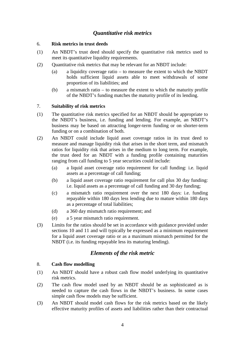# *Quantitative risk metrics*

#### <span id="page-3-1"></span><span id="page-3-0"></span>6. **Risk metrics in trust deeds**

- (1) An NBDT's trust deed should specify the quantitative risk metrics used to meet its quantitative liquidity requirements.
- (2) Quantitative risk metrics that may be relevant for an NBDT include:
	- (a) a liquidity coverage ratio to measure the extent to which the NBDT holds sufficient liquid assets able to meet withdrawals of some proportion of its liabilities; and
	- (b) a mismatch ratio to measure the extent to which the maturity profile of the NBDT's funding matches the maturity profile of its lending.

#### <span id="page-3-2"></span>7. **Suitability of risk metrics**

- (1) The quantitative risk metrics specified for an NBDT should be appropriate to the NBDT's business, i.e. funding and lending. For example, an NBDT's business may be based on attracting longer-term funding or on shorter-term funding or on a combination of both.
- (2) An NBDT could include liquid asset coverage ratios in its trust deed to measure and manage liquidity risk that arises in the short term, and mismatch ratios for liquidity risk that arises in the medium to long term. For example, the trust deed for an NBDT with a funding profile containing maturities ranging from call funding to 5 year securities could include:
	- (a) a liquid asset coverage ratio requirement for call funding: i.e. liquid assets as a percentage of call funding;
	- (b) a liquid asset coverage ratio requirement for call plus 30 day funding: i.e. liquid assets as a percentage of call funding and 30 day funding;
	- (c) a mismatch ratio requirement over the next 180 days: i.e. funding repayable within 180 days less lending due to mature within 180 days as a percentage of total liabilities;
	- (d) a 360 day mismatch ratio requirement; and
	- (e) a 5 year mismatch ratio requirement.
- (3) Limits for the ratios should be set in accordance with guidance provided under sections 10 and 11 and will typically be expressed as a minimum requirement for a liquid asset coverage ratio or as a maximum mismatch permitted for the NBDT (i.e. its funding repayable less its maturing lending).

# *Elements of the risk metric*

#### <span id="page-3-4"></span><span id="page-3-3"></span>8. **Cash flow modelling**

- (1) An NBDT should have a robust cash flow model underlying its quantitative risk metrics.
- (2) The cash flow model used by an NBDT should be as sophisticated as is needed to capture the cash flows in the NBDT's business. In some cases simple cash flow models may be sufficient.
- (3) An NBDT should model cash flows for the risk metrics based on the likely effective maturity profiles of assets and liabilities rather than their contractual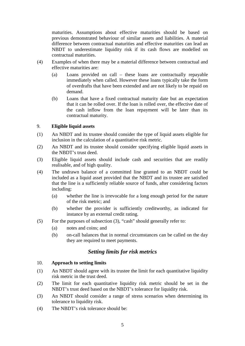maturities. Assumptions about effective maturities should be based on previous demonstrated behaviour of similar assets and liabilities. A material difference between contractual maturities and effective maturities can lead an NBDT to underestimate liquidity risk if its cash flows are modelled on contractual maturities.

- (4) Examples of when there may be a material difference between contractual and effective maturities are:
	- (a) Loans provided on call these loans are contractually repayable immediately when called. However these loans typically take the form of overdrafts that have been extended and are not likely to be repaid on demand.
	- (b) Loans that have a fixed contractual maturity date but an expectation that it can be rolled over. If the loan is rolled over, the effective date of the cash inflow from the loan repayment will be later than its contractual maturity.

#### <span id="page-4-0"></span>9. **Eligible liquid assets**

- (1) An NBDT and its trustee should consider the type of liquid assets eligible for inclusion in the calculation of a quantitative risk metric.
- (2) An NBDT and its trustee should consider specifying eligible liquid assets in the NBDT's trust deed.
- (3) Eligible liquid assets should include cash and securities that are readily realisable, and of high quality.
- (4) The undrawn balance of a committed line granted to an NBDT could be included as a liquid asset provided that the NBDT and its trustee are satisfied that the line is a sufficiently reliable source of funds, after considering factors including:
	- (a) whether the line is irrevocable for a long enough period for the nature of the risk metric; and
	- (b) whether the provider is sufficiently creditworthy, as indicated for instance by an external credit rating.
- (5) For the purposes of subsection (3), "cash" should generally refer to:
	- (a) notes and coins; and
	- (b) on-call balances that in normal circumstances can be called on the day they are required to meet payments.

### *Setting limits for risk metrics*

#### <span id="page-4-2"></span><span id="page-4-1"></span>10. **Approach to setting limits**

- (1) An NBDT should agree with its trustee the limit for each quantitative liquidity risk metric in the trust deed.
- (2) The limit for each quantitative liquidity risk metric should be set in the NBDT's trust deed based on the NBDT's tolerance for liquidity risk.
- (3) An NBDT should consider a range of stress scenarios when determining its tolerance to liquidity risk.
- (4) The NBDT's risk tolerance should be: